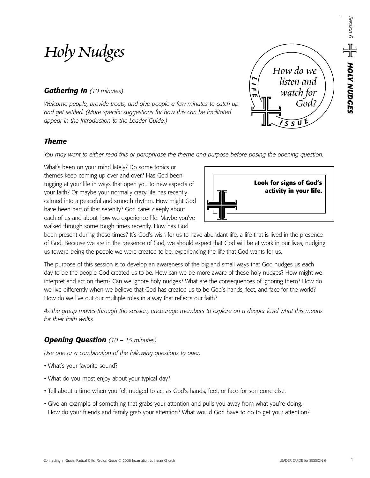# *Holy Nudges*

# *Gathering In (10 minutes)*

*Welcome people, provide treats, and give people a few minutes to catch up and get settled. (More specific suggestions for how this can be facilitated appear in the Introduction to the Leader Guide.)*

# *Theme*

*You may want to either read this or paraphrase the theme and purpose before posing the opening question.*

What's been on your mind lately? Do some topics or themes keep coming up over and over? Has God been tugging at your life in ways that open you to new aspects of your faith? Or maybe your normally crazy life has recently calmed into a peaceful and smooth rhythm. How might God have been part of that serenity? God cares deeply about each of us and about how we experience life. Maybe you've walked through some tough times recently. How has God



*<sup>I</sup> <sup>S</sup> <sup>S</sup> <sup>U</sup> E*

*How do we listen and* 

*watch for God?*

*L I F E*

been present during those times? It's God's wish for us to have abundant life, a life that is lived in the presence of God. Because we are in the presence of God, we should expect that God will be at work in our lives, nudging us toward being the people we were created to be, experiencing the life that God wants for us.

The purpose of this session is to develop an awareness of the big and small ways that God nudges us each day to be the people God created us to be. How can we be more aware of these holy nudges? How might we interpret and act on them? Can we ignore holy nudges? What are the consequences of ignoring them? How do we live differently when we believe that God has created us to be God's hands, feet, and face for the world? How do we live out our multiple roles in a way that reflects our faith?

*As the group moves through the session, encourage members to explore on a deeper level what this means for their faith walks.*

# *Opening Question (10 – 15 minutes)*

*Use one or a combination of the following questions to open*

- What's your favorite sound?
- What do you most enjoy about your typical day?
- Tell about a time when you felt nudged to act as God's hands, feet, or face for someone else.
- Give an example of something that grabs your attention and pulls you away from what you're doing. How do your friends and family grab your attention? What would God have to do to get your attention?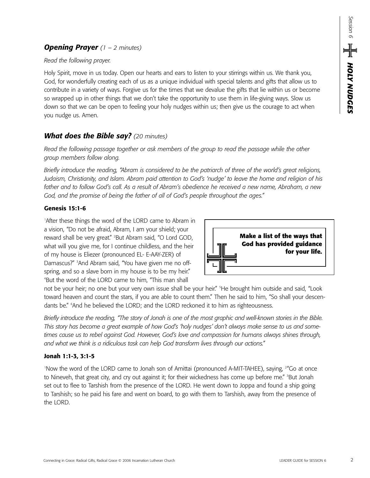### *Opening Prayer (1 – 2 minutes)*

#### *Read the following prayer.*

Holy Spirit, move in us today. Open our hearts and ears to listen to your stirrings within us. We thank you, God, for wonderfully creating each of us as a unique individual with special talents and gifts that allow us to contribute in a variety of ways. Forgive us for the times that we devalue the gifts that lie within us or become so wrapped up in other things that we don't take the opportunity to use them in life-giving ways. Slow us down so that we can be open to feeling your holy nudges within us; then give us the courage to act when you nudge us. Amen.

# *What does the Bible say? (20 minutes)*

*Read the following passage together or ask members of the group to read the passage while the other group members follow along.* 

*Briefly introduce the reading, "Abram is considered to be the patriarch of three of the world's great religions, Judaism, Christianity, and Islam. Abram paid attention to God's 'nudge' to leave the home and religion of his father and to follow God's call. As a result of Abram's obedience he received a new name, Abraham, a new God, and the promise of being the father of all of God's people throughout the ages."*

#### **Genesis 15:1-6**

1 After these things the word of the LORD came to Abram in a vision, "Do not be afraid, Abram, I am your shield; your reward shall be very great." 2 But Abram said, "O Lord GOD, what will you give me, for I continue childless, and the heir of my house is Eliezer (pronounced EL- E-AAY-ZER) of Damascus?" 3 And Abram said, "You have given me no offspring, and so a slave born in my house is to be my heir." 4 But the word of the LORD came to him, "This man shall



not be your heir; no one but your very own issue shall be your heir." 5 He brought him outside and said, "Look toward heaven and count the stars, if you are able to count them." Then he said to him, "So shall your descendants be." 6 And he believed the LORD; and the LORD reckoned it to him as righteousness.

*Briefly introduce the reading, "The story of Jonah is one of the most graphic and well-known stories in the Bible. This story has become a great example of how God's 'holy nudges' don't always make sense to us and sometimes cause us to rebel against God. However, God's love and compassion for humans always shines through, and what we think is a ridiculous task can help God transform lives through our actions."*

#### **Jonah 1:1-3, 3:1-5**

'Now the word of the LORD came to Jonah son of Amittai (pronounced A-MIT-TAHEE), saying, <sup>24</sup>Go at once to Nineveh, that great city, and cry out against it; for their wickedness has come up before me." <sup>3</sup>But Jonah set out to flee to Tarshish from the presence of the LORD. He went down to Joppa and found a ship going to Tarshish; so he paid his fare and went on board, to go with them to Tarshish, away from the presence of the LORD.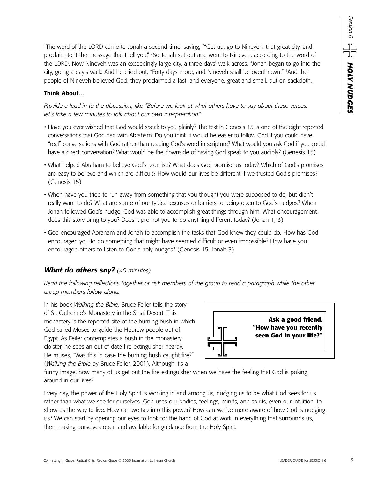1 The word of the LORD came to Jonah a second time, saying, 2 "Get up, go to Nineveh, that great city, and proclaim to it the message that I tell you." <sup>3</sup>So Jonah set out and went to Nineveh, according to the word of the LORD. Now Nineveh was an exceedingly large city, a three days' walk across. 4 Jonah began to go into the city, going a day's walk. And he cried out, "Forty days more, and Nineveh shall be overthrown!" 5 And the people of Nineveh believed God; they proclaimed a fast, and everyone, great and small, put on sackcloth.

#### **Think About…**

*Provide a lead-in to the discussion, like "Before we look at what others have to say about these verses, let's take a few minutes to talk about our own interpretation."* 

- Have you ever wished that God would speak to you plainly? The text in Genesis 15 is one of the eight reported conversations that God had with Abraham. Do you think it would be easier to follow God if you could have "real" conversations with God rather than reading God's word in scripture? What would you ask God if you could have a direct conversation? What would be the downside of having God speak to you audibly? (Genesis 15)
- What helped Abraham to believe God's promise? What does God promise us today? Which of God's promises are easy to believe and which are difficult? How would our lives be different if we trusted God's promises? (Genesis 15)
- When have you tried to run away from something that you thought you were supposed to do, but didn't really want to do? What are some of our typical excuses or barriers to being open to God's nudges? When Jonah followed God's nudge, God was able to accomplish great things through him. What encouragement does this story bring to you? Does it prompt you to do anything different today? (Jonah 1, 3)
- God encouraged Abraham and Jonah to accomplish the tasks that God knew they could do. How has God encouraged you to do something that might have seemed difficult or even impossible? How have you encouraged others to listen to God's holy nudges? (Genesis 15, Jonah 3)

# *What do others say? (40 minutes)*

*Read the following reflections together or ask members of the group to read a paragraph while the other group members follow along.*

In his book *Walking the Bible,* Bruce Feiler tells the story of St. Catherine's Monastery in the Sinai Desert. This monastery is the reported site of the burning bush in which God called Moses to guide the Hebrew people out of Egypt. As Feiler contemplates a bush in the monastery cloister, he sees an out-of-date fire extinguisher nearby. He muses, "Was this in case the burning bush caught fire?" (*Walking the Bible* by Bruce Feiler, 2001). Although it's a



funny image, how many of us get out the fire extinguisher when we have the feeling that God is poking around in our lives?

Every day, the power of the Holy Spirit is working in and among us, nudging us to be what God sees for us rather than what we see for ourselves. God uses our bodies, feelings, minds, and spirits, even our intuition, to show us the way to live. How can we tap into this power? How can we be more aware of how God is nudging us? We can start by opening our eyes to look for the hand of God at work in everything that surrounds us, then making ourselves open and available for guidance from the Holy Spirit.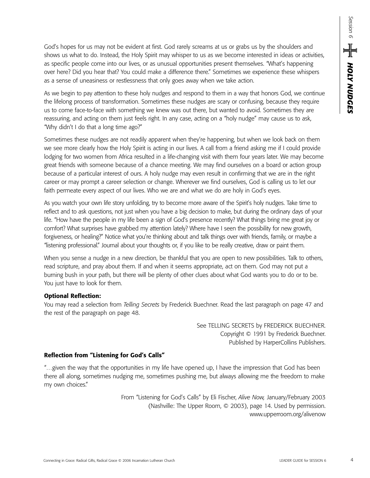God's hopes for us may not be evident at first. God rarely screams at us or grabs us by the shoulders and shows us what to do. Instead, the Holy Spirit may whisper to us as we become interested in ideas or activities, as specific people come into our lives, or as unusual opportunities present themselves. "What's happening over here? Did you hear that? You could make a difference there." Sometimes we experience these whispers as a sense of uneasiness or restlessness that only goes away when we take action.

As we begin to pay attention to these holy nudges and respond to them in a way that honors God, we continue the lifelong process of transformation. Sometimes these nudges are scary or confusing, because they require us to come face-to-face with something we knew was out there, but wanted to avoid. Sometimes they are reassuring, and acting on them just feels right. In any case, acting on a "holy nudge" may cause us to ask, "Why didn't I do that a long time ago?"

Sometimes these nudges are not readily apparent when they're happening, but when we look back on them we see more clearly how the Holy Spirit is acting in our lives. A call from a friend asking me if I could provide lodging for two women from Africa resulted in a life-changing visit with them four years later. We may become great friends with someone because of a chance meeting. We may find ourselves on a board or action group because of a particular interest of ours. A holy nudge may even result in confirming that we are in the right career or may prompt a career selection or change. Wherever we find ourselves, God is calling us to let our faith permeate every aspect of our lives. Who we are and what we do are holy in God's eyes.

As you watch your own life story unfolding, try to become more aware of the Spirit's holy nudges. Take time to reflect and to ask questions, not just when you have a big decision to make, but during the ordinary days of your life. "How have the people in my life been a sign of God's presence recently? What things bring me great joy or comfort? What surprises have grabbed my attention lately? Where have I seen the possibility for new growth, forgiveness, or healing?" Notice what you're thinking about and talk things over with friends, family, or maybe a "listening professional." Journal about your thoughts or, if you like to be really creative, draw or paint them.

When you sense a nudge in a new direction, be thankful that you are open to new possibilities. Talk to others, read scripture, and pray about them. If and when it seems appropriate, act on them. God may not put a burning bush in your path, but there will be plenty of other clues about what God wants you to do or to be. You just have to look for them.

#### **Optional Reflection:**

You may read a selection from *Telling Secrets* by Frederick Buechner. Read the last paragraph on page 47 and the rest of the paragraph on page 48.

> See TELLING SECRETS by FREDERICK BUECHNER. Copyright © 1991 by Frederick Buechner. Published by HarperCollins Publishers.

#### **Reflection from "Listening for God's Calls"**

"…given the way that the opportunities in my life have opened up, I have the impression that God has been there all along, sometimes nudging me, sometimes pushing me, but always allowing me the freedom to make my own choices."

> From "Listening for God's Calls" by Eli Fischer, *Alive Now,* January/February 2003 (Nashville: The Upper Room, © 2003), page 14. Used by permission. www.upperroom.org/alivenow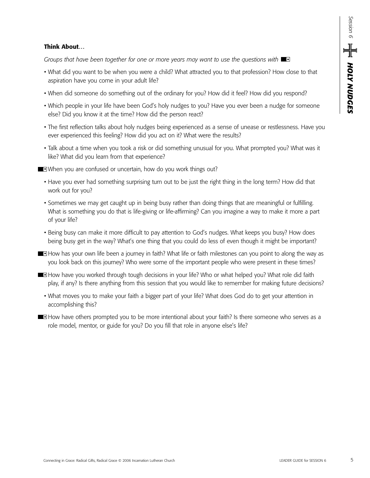#### **Think About…**

*Groups that have been together for one or more years may want to use the questions with* 

- What did you want to be when you were a child? What attracted you to that profession? How close to that aspiration have you come in your adult life?
- When did someone do something out of the ordinary for you? How did it feel? How did you respond?
- Which people in your life have been God's holy nudges to you? Have you ever been a nudge for someone else? Did you know it at the time? How did the person react?
- The first reflection talks about holy nudges being experienced as a sense of unease or restlessness. Have you ever experienced this feeling? How did you act on it? What were the results?
- Talk about a time when you took a risk or did something unusual for you. What prompted you? What was it like? What did you learn from that experience?
- When you are confused or uncertain, how do you work things out?
	- Have you ever had something surprising turn out to be just the right thing in the long term? How did that work out for you?
	- Sometimes we may get caught up in being busy rather than doing things that are meaningful or fulfilling. What is something you do that is life-giving or life-affirming? Can you imagine a way to make it more a part of your life?
	- Being busy can make it more difficult to pay attention to God's nudges. What keeps you busy? How does being busy get in the way? What's one thing that you could do less of even though it might be important?
- **How has your own life been a journey in faith? What life or faith milestones can you point to along the way as** you look back on this journey? Who were some of the important people who were present in these times?
- **How have you worked through tough decisions in your life? Who or what helped you? What role did faith** play, if any? Is there anything from this session that you would like to remember for making future decisions?
	- What moves you to make your faith a bigger part of your life? What does God do to get your attention in accomplishing this?
- **How have others prompted you to be more intentional about your faith? Is there someone who serves as a** role model, mentor, or guide for you? Do you fill that role in anyone else's life?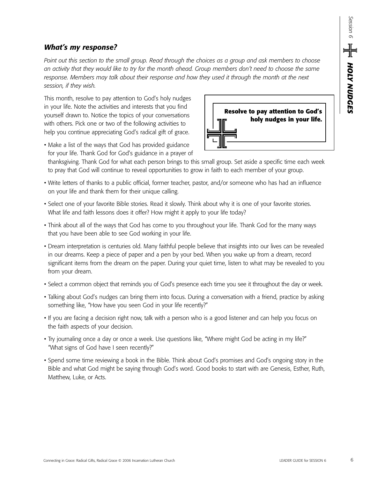## *What's my response?*

*Point out this section to the small group. Read through the choices as a group and ask members to choose an activity that they would like to try for the month ahead. Group members don't need to choose the same* response. Members may talk about their response and how they used it through the month at the next *session, if they wish.*

This month, resolve to pay attention to God's holy nudges in your life. Note the activities and interests that you find yourself drawn to. Notice the topics of your conversations with others. Pick one or two of the following activities to help you continue appreciating God's radical gift of grace.



• Make a list of the ways that God has provided guidance for your life. Thank God for God's guidance in a prayer of

thanksgiving. Thank God for what each person brings to this small group. Set aside a specific time each week to pray that God will continue to reveal opportunities to grow in faith to each member of your group.

- Write letters of thanks to a public official, former teacher, pastor, and/or someone who has had an influence on your life and thank them for their unique calling.
- Select one of your favorite Bible stories. Read it slowly. Think about why it is one of your favorite stories. What life and faith lessons does it offer? How might it apply to your life today?
- Think about all of the ways that God has come to you throughout your life. Thank God for the many ways that you have been able to see God working in your life.
- Dream interpretation is centuries old. Many faithful people believe that insights into our lives can be revealed in our dreams. Keep a piece of paper and a pen by your bed. When you wake up from a dream, record significant items from the dream on the paper. During your quiet time, listen to what may be revealed to you from your dream.
- Select a common object that reminds you of God's presence each time you see it throughout the day or week.
- Talking about God's nudges can bring them into focus. During a conversation with a friend, practice by asking something like, "How have you seen God in your life recently?"
- If you are facing a decision right now, talk with a person who is a good listener and can help you focus on the faith aspects of your decision.
- Try journaling once a day or once a week. Use questions like, "Where might God be acting in my life?" "What signs of God have I seen recently?"
- Spend some time reviewing a book in the Bible. Think about God's promises and God's ongoing story in the Bible and what God might be saying through God's word. Good books to start with are Genesis, Esther, Ruth, Matthew, Luke, or Acts.